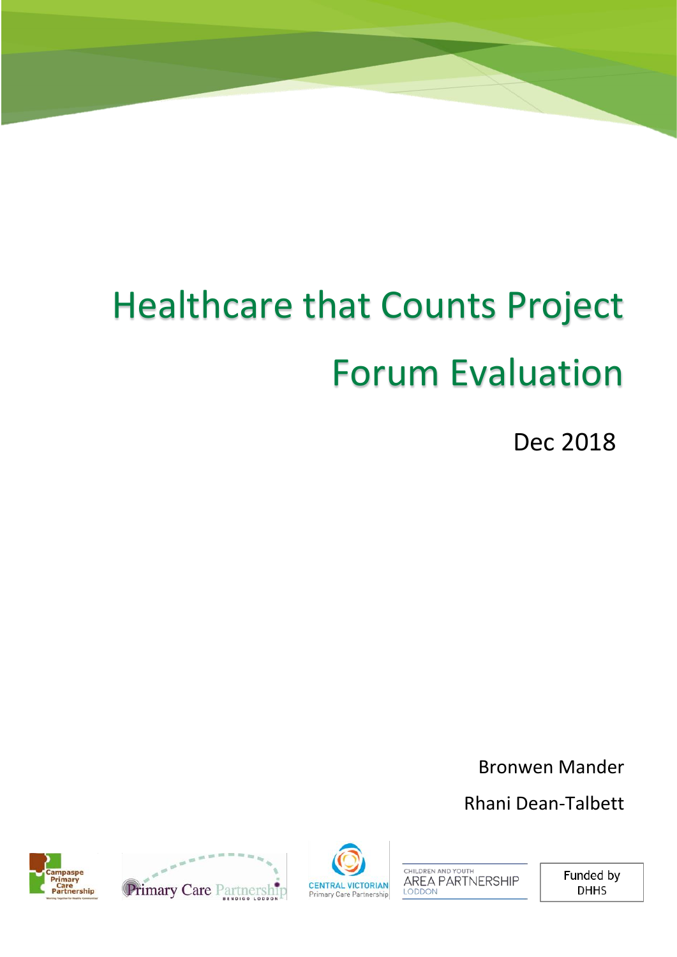# Healthcare that Counts Project Forum Evaluation

Dec 2018

Bronwen Mander

Rhani Dean-Talbett







CHILDREN AND YOUTH AREA PARTNERSHIP

Funded by **DHHS**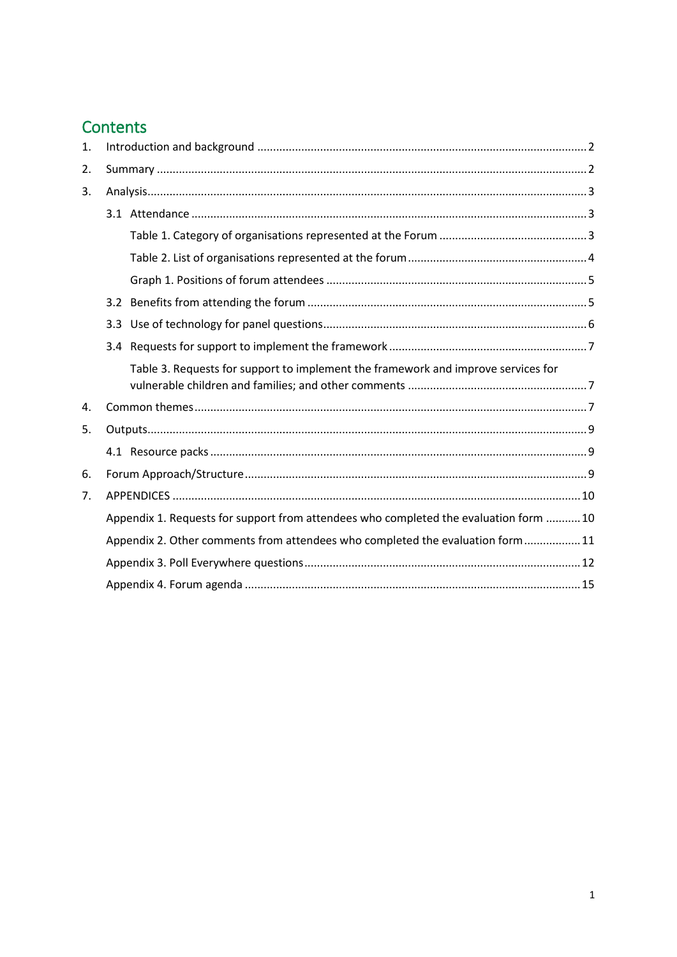# Contents

| 1. |     |                                                                                       |
|----|-----|---------------------------------------------------------------------------------------|
| 2. |     |                                                                                       |
| 3. |     |                                                                                       |
|    |     |                                                                                       |
|    |     |                                                                                       |
|    |     |                                                                                       |
|    |     |                                                                                       |
|    |     |                                                                                       |
|    | 3.3 |                                                                                       |
|    |     |                                                                                       |
|    |     | Table 3. Requests for support to implement the framework and improve services for     |
| 4. |     |                                                                                       |
| 5. |     |                                                                                       |
|    |     |                                                                                       |
| 6. |     |                                                                                       |
| 7. |     |                                                                                       |
|    |     | Appendix 1. Requests for support from attendees who completed the evaluation form  10 |
|    |     | Appendix 2. Other comments from attendees who completed the evaluation form 11        |
|    |     |                                                                                       |
|    |     |                                                                                       |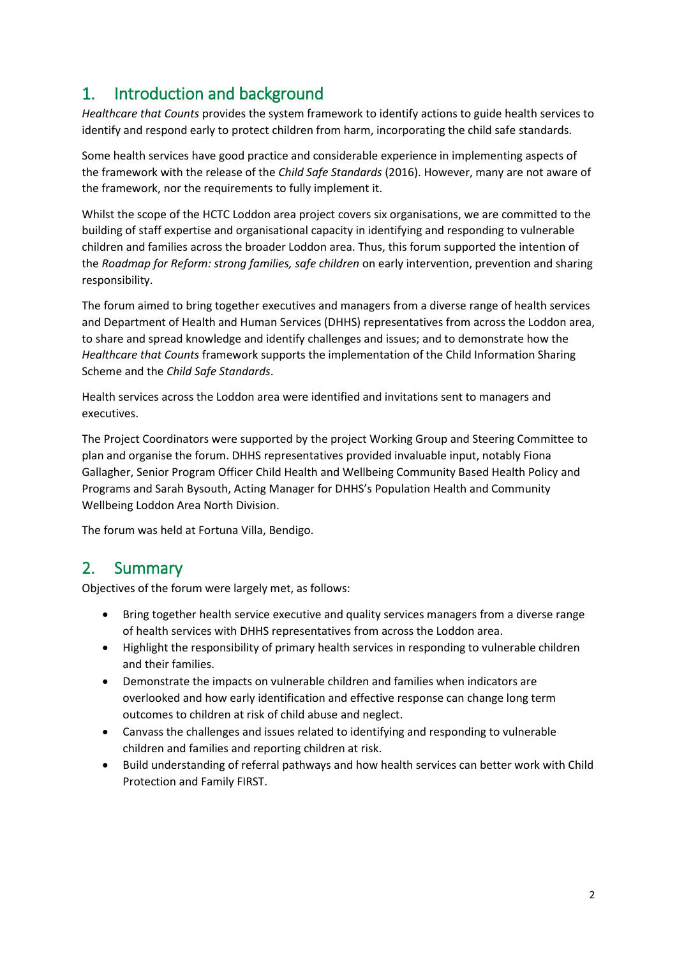# <span id="page-2-0"></span>1. Introduction and background

*Healthcare that Counts* provides the system framework to identify actions to guide health services to identify and respond early to protect children from harm, incorporating the child safe standards.

Some health services have good practice and considerable experience in implementing aspects of the framework with the release of the *Child Safe Standards* (2016). However, many are not aware of the framework, nor the requirements to fully implement it.

Whilst the scope of the HCTC Loddon area project covers six organisations, we are committed to the building of staff expertise and organisational capacity in identifying and responding to vulnerable children and families across the broader Loddon area. Thus, this forum supported the intention of the *Roadmap for Reform: strong families, safe children* on early intervention, prevention and sharing responsibility.

The forum aimed to bring together executives and managers from a diverse range of health services and Department of Health and Human Services (DHHS) representatives from across the Loddon area, to share and spread knowledge and identify challenges and issues; and to demonstrate how the *Healthcare that Counts* framework supports the implementation of the Child Information Sharing Scheme and the *Child Safe Standards*.

Health services across the Loddon area were identified and invitations sent to managers and executives.

The Project Coordinators were supported by the project Working Group and Steering Committee to plan and organise the forum. DHHS representatives provided invaluable input, notably Fiona Gallagher, Senior Program Officer Child Health and Wellbeing Community Based Health Policy and Programs and Sarah Bysouth, Acting Manager for DHHS's Population Health and Community Wellbeing Loddon Area North Division.

The forum was held at Fortuna Villa, Bendigo.

### <span id="page-2-1"></span>2. Summary

Objectives of the forum were largely met, as follows:

- Bring together health service executive and quality services managers from a diverse range of health services with DHHS representatives from across the Loddon area.
- Highlight the responsibility of primary health services in responding to vulnerable children and their families.
- Demonstrate the impacts on vulnerable children and families when indicators are overlooked and how early identification and effective response can change long term outcomes to children at risk of child abuse and neglect.
- Canvass the challenges and issues related to identifying and responding to vulnerable children and families and reporting children at risk.
- Build understanding of referral pathways and how health services can better work with Child Protection and Family FIRST.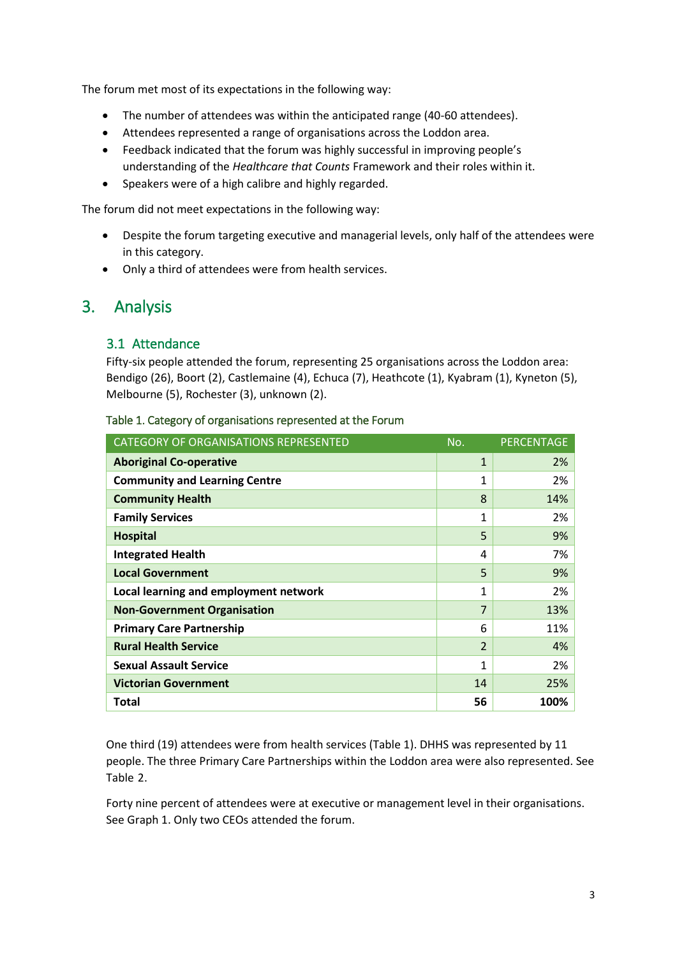The forum met most of its expectations in the following way:

- The number of attendees was within the anticipated range (40-60 attendees).
- Attendees represented a range of organisations across the Loddon area.
- Feedback indicated that the forum was highly successful in improving people's understanding of the *Healthcare that Counts* Framework and their roles within it.
- Speakers were of a high calibre and highly regarded.

The forum did not meet expectations in the following way:

- Despite the forum targeting executive and managerial levels, only half of the attendees were in this category.
- Only a third of attendees were from health services.

### <span id="page-3-1"></span><span id="page-3-0"></span>3. Analysis

### 3.1 Attendance

Fifty-six people attended the forum, representing 25 organisations across the Loddon area: Bendigo (26), Boort (2), Castlemaine (4), Echuca (7), Heathcote (1), Kyabram (1), Kyneton (5), Melbourne (5), Rochester (3), unknown (2).

| CATEGORY OF ORGANISATIONS REPRESENTED | No.                      | <b>PERCENTAGE</b> |
|---------------------------------------|--------------------------|-------------------|
| <b>Aboriginal Co-operative</b>        | $\mathbf{1}$             | 2%                |
| <b>Community and Learning Centre</b>  | 1                        | 2%                |
| <b>Community Health</b>               | 8                        | 14%               |
| <b>Family Services</b>                | 1                        | 2%                |
| <b>Hospital</b>                       | 5                        | 9%                |
| <b>Integrated Health</b>              | 4                        | 7%                |
| <b>Local Government</b>               | 5                        | 9%                |
| Local learning and employment network | 1                        | 2%                |
| <b>Non-Government Organisation</b>    | 7                        | 13%               |
| <b>Primary Care Partnership</b>       | 6                        | 11%               |
| <b>Rural Health Service</b>           | $\overline{\mathcal{L}}$ | 4%                |
| <b>Sexual Assault Service</b>         | 1                        | 2%                |
| <b>Victorian Government</b>           | 14                       | 25%               |
| Total                                 | 56                       | 100%              |

#### <span id="page-3-2"></span>Table 1. Category of organisations represented at the Forum

One third (19) attendees were from health services (Table 1). DHHS was represented by 11 people. The three Primary Care Partnerships within the Loddon area were also represented. See Table 2.

Forty nine percent of attendees were at executive or management level in their organisations. See Graph 1. Only two CEOs attended the forum.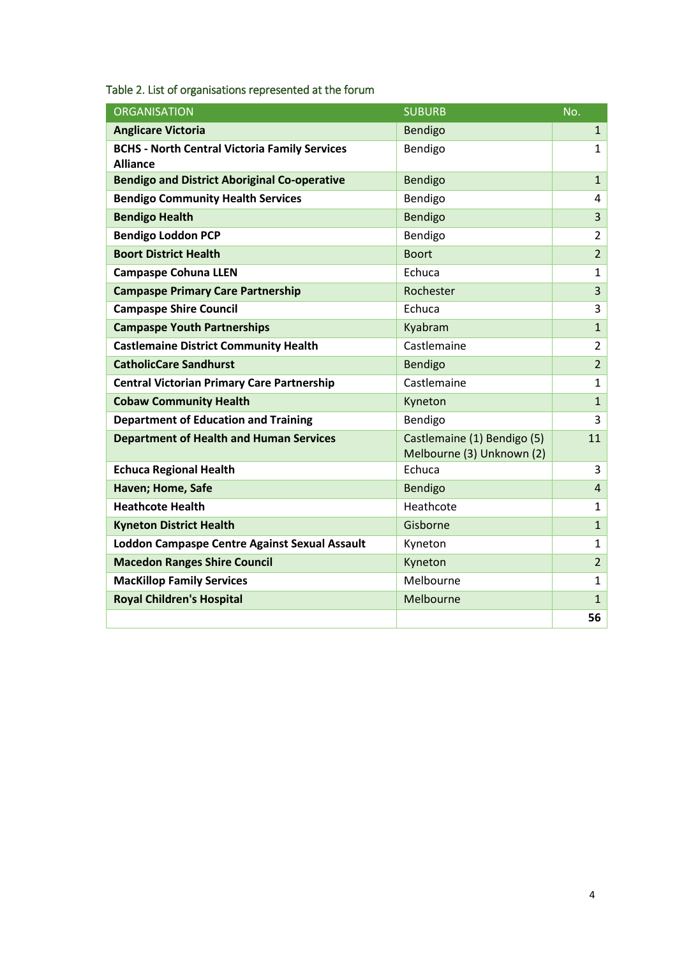| <b>ORGANISATION</b>                                                     | <b>SUBURB</b>                                            | No.            |
|-------------------------------------------------------------------------|----------------------------------------------------------|----------------|
| <b>Anglicare Victoria</b>                                               | <b>Bendigo</b>                                           | $\mathbf{1}$   |
| <b>BCHS - North Central Victoria Family Services</b><br><b>Alliance</b> | Bendigo                                                  | $\mathbf{1}$   |
| <b>Bendigo and District Aboriginal Co-operative</b>                     | <b>Bendigo</b>                                           | $\mathbf{1}$   |
| <b>Bendigo Community Health Services</b>                                | Bendigo                                                  | 4              |
| <b>Bendigo Health</b>                                                   | Bendigo                                                  | 3              |
| <b>Bendigo Loddon PCP</b>                                               | Bendigo                                                  | $\overline{2}$ |
| <b>Boort District Health</b>                                            | <b>Boort</b>                                             | $\overline{2}$ |
| <b>Campaspe Cohuna LLEN</b>                                             | Echuca                                                   | $\mathbf{1}$   |
| <b>Campaspe Primary Care Partnership</b>                                | Rochester                                                | $\overline{3}$ |
| <b>Campaspe Shire Council</b>                                           | Echuca                                                   | 3              |
| <b>Campaspe Youth Partnerships</b>                                      | Kyabram                                                  | $\mathbf{1}$   |
| <b>Castlemaine District Community Health</b>                            | Castlemaine                                              | $\overline{2}$ |
| <b>CatholicCare Sandhurst</b>                                           | Bendigo                                                  | $\overline{2}$ |
| <b>Central Victorian Primary Care Partnership</b>                       | Castlemaine                                              | $\mathbf{1}$   |
| <b>Cobaw Community Health</b>                                           | Kyneton                                                  | $\mathbf{1}$   |
| <b>Department of Education and Training</b>                             | Bendigo                                                  | 3              |
| <b>Department of Health and Human Services</b>                          | Castlemaine (1) Bendigo (5)<br>Melbourne (3) Unknown (2) | 11             |
| <b>Echuca Regional Health</b>                                           | Echuca                                                   | 3              |
| Haven; Home, Safe                                                       | <b>Bendigo</b>                                           | $\overline{4}$ |
| <b>Heathcote Health</b>                                                 | Heathcote                                                | $\mathbf{1}$   |
| <b>Kyneton District Health</b>                                          | Gisborne                                                 | $\mathbf{1}$   |
| <b>Loddon Campaspe Centre Against Sexual Assault</b>                    | Kyneton                                                  | $\mathbf{1}$   |
| <b>Macedon Ranges Shire Council</b>                                     | Kyneton                                                  | $\overline{2}$ |
| <b>MacKillop Family Services</b>                                        | Melbourne                                                | $\mathbf{1}$   |
| <b>Royal Children's Hospital</b>                                        | Melbourne                                                | $\mathbf{1}$   |
|                                                                         |                                                          | 56             |

<span id="page-4-0"></span>Table 2. List of organisations represented at the forum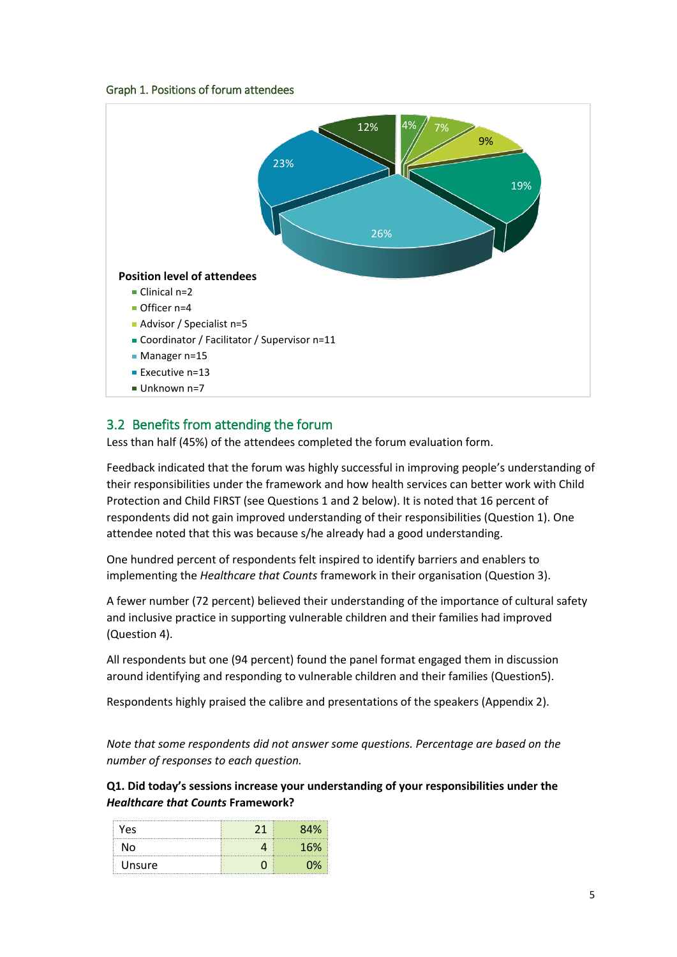#### Graph 1. Positions of forum attendees

<span id="page-5-0"></span>

### <span id="page-5-1"></span>3.2 Benefits from attending the forum

Less than half (45%) of the attendees completed the forum evaluation form.

Feedback indicated that the forum was highly successful in improving people's understanding of their responsibilities under the framework and how health services can better work with Child Protection and Child FIRST (see Questions 1 and 2 below). It is noted that 16 percent of respondents did not gain improved understanding of their responsibilities (Question 1). One attendee noted that this was because s/he already had a good understanding.

One hundred percent of respondents felt inspired to identify barriers and enablers to implementing the *Healthcare that Counts* framework in their organisation (Question 3).

A fewer number (72 percent) believed their understanding of the importance of cultural safety and inclusive practice in supporting vulnerable children and their families had improved (Question 4).

All respondents but one (94 percent) found the panel format engaged them in discussion around identifying and responding to vulnerable children and their families (Question5).

Respondents highly praised the calibre and presentations of the speakers (Appendix 2).

*Note that some respondents did not answer some questions. Percentage are based on the number of responses to each question.*

**Q1. Did today's sessions increase your understanding of your responsibilities under the**  *Healthcare that Counts* **Framework?**

| Yes    | , 1 | 2 A % |
|--------|-----|-------|
| N٥     |     | 16%   |
| Unsure |     |       |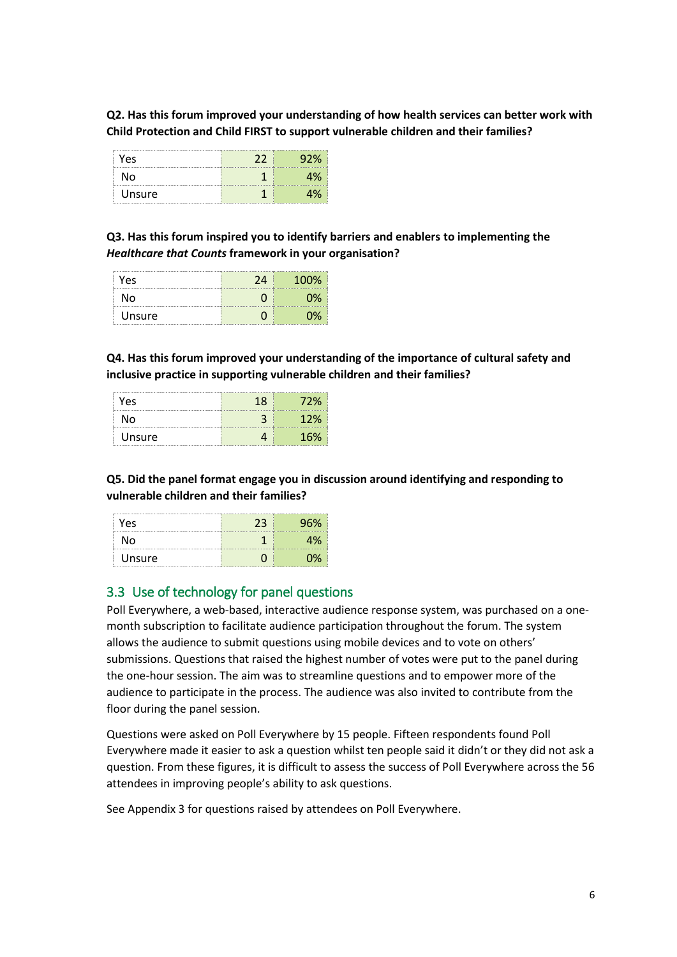**Q2. Has this forum improved your understanding of how health services can better work with Child Protection and Child FIRST to support vulnerable children and their families?**

| Yes    | 22 |  |
|--------|----|--|
| N٥     |    |  |
| Unsure |    |  |

**Q3. Has this forum inspired you to identify barriers and enablers to implementing the**  *Healthcare that Counts* **framework in your organisation?**

| Yes    | 74 | 100% |
|--------|----|------|
| N٥     |    |      |
| Unsure |    |      |

**Q4. Has this forum improved your understanding of the importance of cultural safety and inclusive practice in supporting vulnerable children and their families?**

| Yes    | 18 | 72% |
|--------|----|-----|
| N٥     |    | 12% |
| Unsure |    | 16% |

**Q5. Did the panel format engage you in discussion around identifying and responding to vulnerable children and their families?**

| Yes.   | 23 | 96% |
|--------|----|-----|
| N٥     |    | 1%. |
| Unsure |    | ገሟ  |

### <span id="page-6-0"></span>3.3 Use of technology for panel questions

Poll Everywhere, a web-based, interactive audience response system, was purchased on a onemonth subscription to facilitate audience participation throughout the forum. The system allows the audience to submit questions using mobile devices and to vote on others' submissions. Questions that raised the highest number of votes were put to the panel during the one-hour session. The aim was to streamline questions and to empower more of the audience to participate in the process. The audience was also invited to contribute from the floor during the panel session.

Questions were asked on Poll Everywhere by 15 people. Fifteen respondents found Poll Everywhere made it easier to ask a question whilst ten people said it didn't or they did not ask a question. From these figures, it is difficult to assess the success of Poll Everywhere across the 56 attendees in improving people's ability to ask questions.

See Appendix 3 for questions raised by attendees on Poll Everywhere.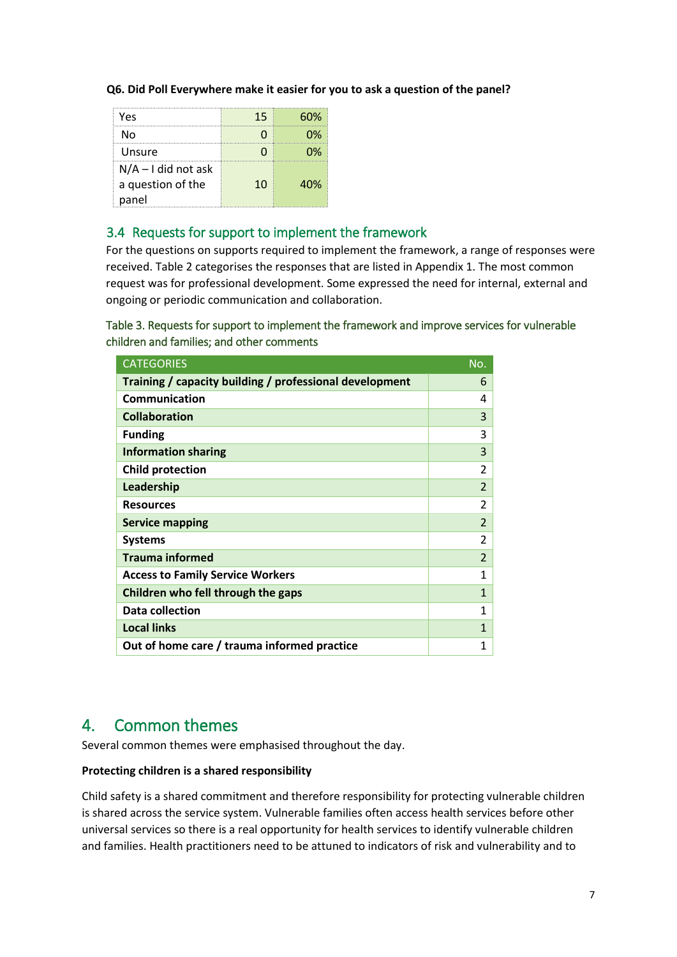#### **Q6. Did Poll Everywhere make it easier for you to ask a question of the panel?**

| Yes                   | 15 | 50% |
|-----------------------|----|-----|
| N٥                    |    | በ%  |
| Unsure                |    | ነሧ  |
| $N/A - I$ did not ask |    |     |
| a question of the     | 10 | 40% |
| panel                 |    |     |

### <span id="page-7-0"></span>3.4 Requests for support to implement the framework

For the questions on supports required to implement the framework, a range of responses were received. Table 2 categorises the responses that are listed in Appendix 1. The most common request was for professional development. Some expressed the need for internal, external and ongoing or periodic communication and collaboration.

### <span id="page-7-1"></span>Table 3. Requests for support to implement the framework and improve services for vulnerable children and families; and other comments

| <b>CATEGORIES</b>                                       | No.                      |
|---------------------------------------------------------|--------------------------|
| Training / capacity building / professional development | 6                        |
| Communication                                           | 4                        |
| <b>Collaboration</b>                                    | 3                        |
| <b>Funding</b>                                          | 3                        |
| <b>Information sharing</b>                              | 3                        |
| <b>Child protection</b>                                 | $\overline{\mathcal{L}}$ |
| Leadership                                              | $\overline{2}$           |
| <b>Resources</b>                                        | $\overline{2}$           |
| <b>Service mapping</b>                                  | $\overline{2}$           |
| <b>Systems</b>                                          | $\overline{\mathcal{L}}$ |
| <b>Trauma informed</b>                                  | $\overline{\phantom{a}}$ |
| <b>Access to Family Service Workers</b>                 | 1                        |
| Children who fell through the gaps                      | $\mathbf{1}$             |
| Data collection                                         | 1                        |
| <b>Local links</b>                                      | $\mathbf{1}$             |
| Out of home care / trauma informed practice             | 1                        |

### <span id="page-7-2"></span>4. Common themes

Several common themes were emphasised throughout the day.

### **Protecting children is a shared responsibility**

Child safety is a shared commitment and therefore responsibility for protecting vulnerable children is shared across the service system. Vulnerable families often access health services before other universal services so there is a real opportunity for health services to identify vulnerable children and families. Health practitioners need to be attuned to indicators of risk and vulnerability and to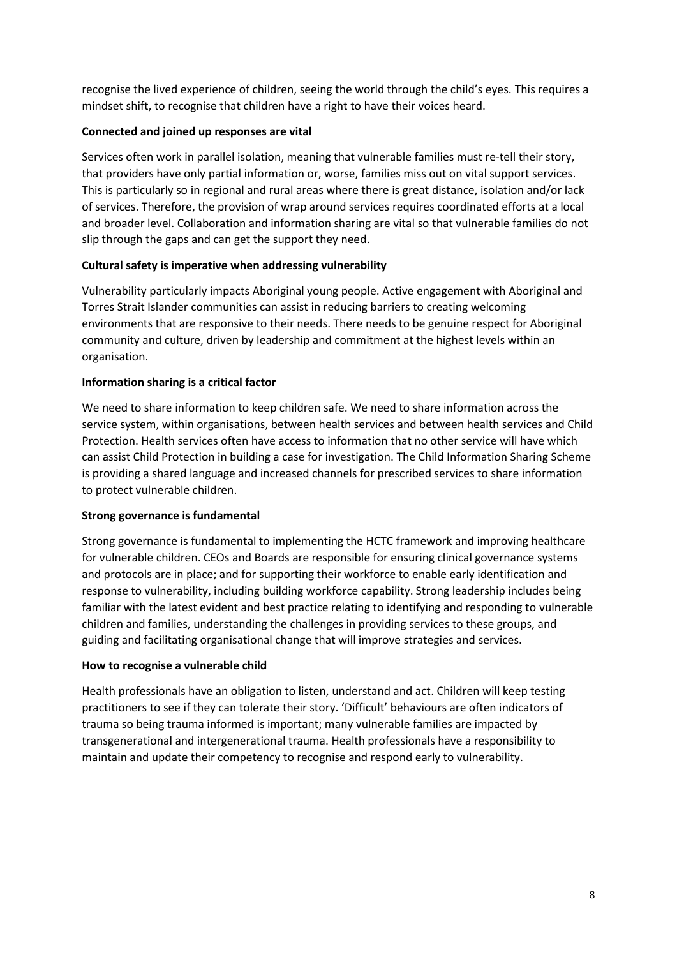recognise the lived experience of children, seeing the world through the child's eyes. This requires a mindset shift, to recognise that children have a right to have their voices heard.

### **Connected and joined up responses are vital**

Services often work in parallel isolation, meaning that vulnerable families must re-tell their story, that providers have only partial information or, worse, families miss out on vital support services. This is particularly so in regional and rural areas where there is great distance, isolation and/or lack of services. Therefore, the provision of wrap around services requires coordinated efforts at a local and broader level. Collaboration and information sharing are vital so that vulnerable families do not slip through the gaps and can get the support they need.

### **Cultural safety is imperative when addressing vulnerability**

Vulnerability particularly impacts Aboriginal young people. Active engagement with Aboriginal and Torres Strait Islander communities can assist in reducing barriers to creating welcoming environments that are responsive to their needs. There needs to be genuine respect for Aboriginal community and culture, driven by leadership and commitment at the highest levels within an organisation.

### **Information sharing is a critical factor**

We need to share information to keep children safe. We need to share information across the service system, within organisations, between health services and between health services and Child Protection. Health services often have access to information that no other service will have which can assist Child Protection in building a case for investigation. The Child Information Sharing Scheme is providing a shared language and increased channels for prescribed services to share information to protect vulnerable children.

### **Strong governance is fundamental**

Strong governance is fundamental to implementing the HCTC framework and improving healthcare for vulnerable children. CEOs and Boards are responsible for ensuring clinical governance systems and protocols are in place; and for supporting their workforce to enable early identification and response to vulnerability, including building workforce capability. Strong leadership includes being familiar with the latest evident and best practice relating to identifying and responding to vulnerable children and families, understanding the challenges in providing services to these groups, and guiding and facilitating organisational change that will improve strategies and services.

### **How to recognise a vulnerable child**

Health professionals have an obligation to listen, understand and act. Children will keep testing practitioners to see if they can tolerate their story. 'Difficult' behaviours are often indicators of trauma so being trauma informed is important; many vulnerable families are impacted by transgenerational and intergenerational trauma. Health professionals have a responsibility to maintain and update their competency to recognise and respond early to vulnerability.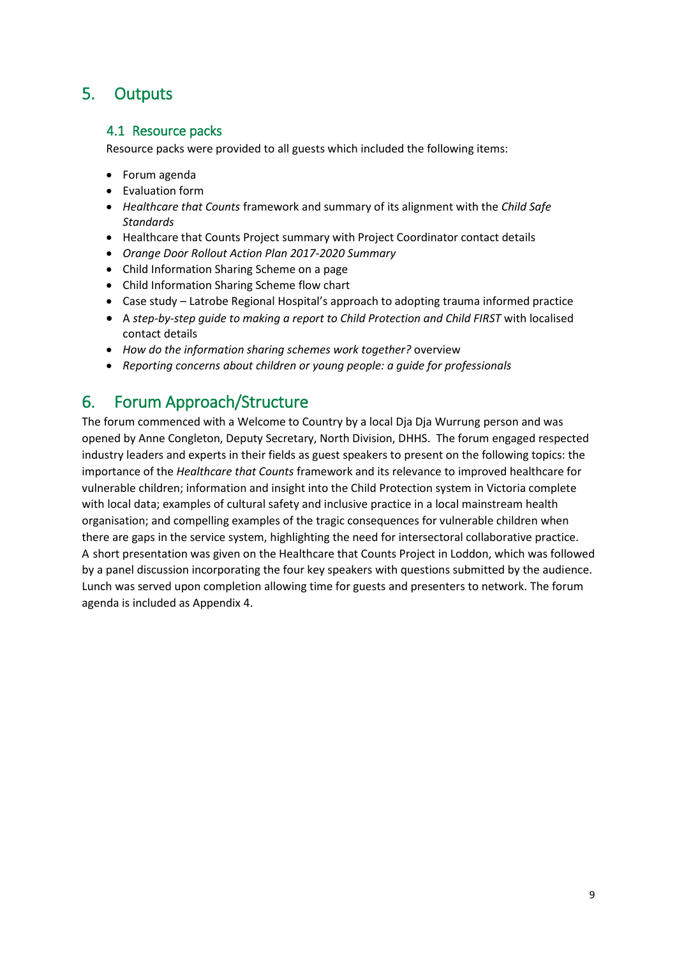### <span id="page-9-1"></span><span id="page-9-0"></span>5. Outputs

### 4.1 Resource packs

Resource packs were provided to all guests which included the following items:

- Forum agenda
- Evaluation form
- *Healthcare that Counts* framework and summary of its alignment with the *Child Safe Standards*
- Healthcare that Counts Project summary with Project Coordinator contact details
- *Orange Door Rollout Action Plan 2017-2020 Summary*
- Child Information Sharing Scheme on a page
- Child Information Sharing Scheme flow chart
- Case study Latrobe Regional Hospital's approach to adopting trauma informed practice
- A *step-by-step guide to making a report to Child Protection and Child FIRST* with localised contact details
- *How do the information sharing schemes work together?* overview
- *Reporting concerns about children or young people: a guide for professionals*

### <span id="page-9-2"></span>6. Forum Approach/Structure

The forum commenced with a Welcome to Country by a local Dja Dja Wurrung person and was opened by Anne Congleton, Deputy Secretary, North Division, DHHS. The forum engaged respected industry leaders and experts in their fields as guest speakers to present on the following topics: the importance of the *Healthcare that Counts* framework and its relevance to improved healthcare for vulnerable children; information and insight into the Child Protection system in Victoria complete with local data; examples of cultural safety and inclusive practice in a local mainstream health organisation; and compelling examples of the tragic consequences for vulnerable children when there are gaps in the service system, highlighting the need for intersectoral collaborative practice. A-short presentation was given on the Healthcare that Counts Project in Loddon, which was followed by a panel discussion incorporating the four key speakers with questions submitted by the audience. Lunch was served upon completion allowing time for guests and presenters to network. The forum agenda is included as Appendix 4.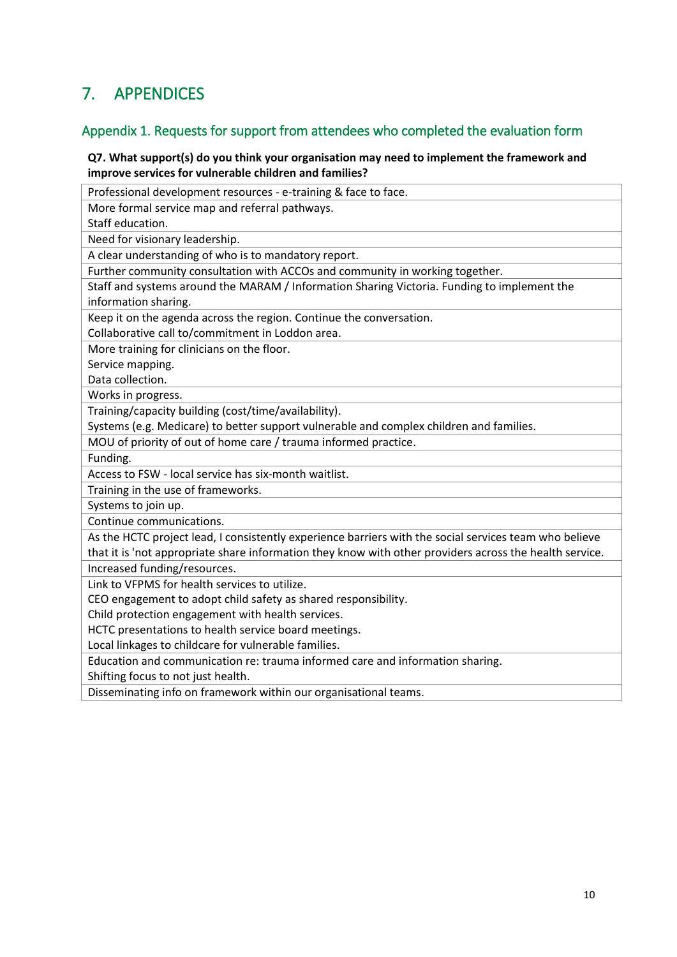# <span id="page-10-0"></span>7. APPENDICES

### <span id="page-10-1"></span>Appendix 1. Requests for support from attendees who completed the evaluation form

#### **Q7. What support(s) do you think your organisation may need to implement the framework and improve services for vulnerable children and families?**

Professional development resources - e-training & face to face.

More formal service map and referral pathways.

Staff education.

Need for visionary leadership.

A clear understanding of who is to mandatory report.

Further community consultation with ACCOs and community in working together.

Staff and systems around the MARAM / Information Sharing Victoria. Funding to implement the information sharing.

Keep it on the agenda across the region. Continue the conversation.

Collaborative call to/commitment in Loddon area.

More training for clinicians on the floor.

Service mapping.

Data collection.

Works in progress.

Training/capacity building (cost/time/availability).

Systems (e.g. Medicare) to better support vulnerable and complex children and families.

MOU of priority of out of home care / trauma informed practice.

Funding.

Access to FSW - local service has six-month waitlist.

Training in the use of frameworks.

Systems to join up.

Continue communications.

As the HCTC project lead, I consistently experience barriers with the social services team who believe that it is 'not appropriate share information they know with other providers across the health service.

Increased funding/resources.

Link to VFPMS for health services to utilize.

CEO engagement to adopt child safety as shared responsibility.

Child protection engagement with health services.

HCTC presentations to health service board meetings.

Local linkages to childcare for vulnerable families.

Education and communication re: trauma informed care and information sharing.

Shifting focus to not just health.

Disseminating info on framework within our organisational teams.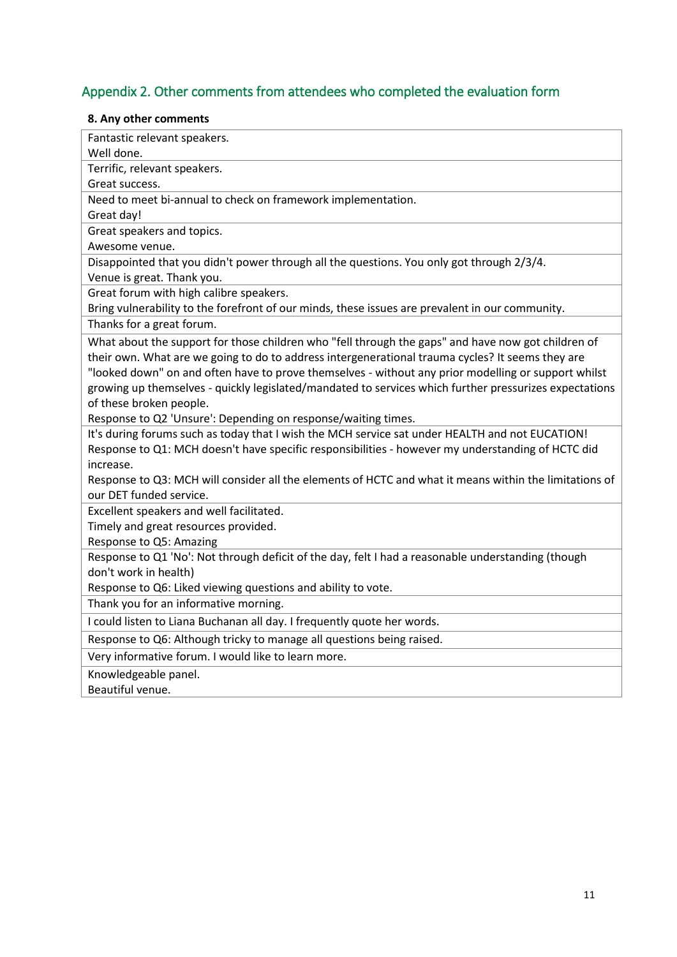# <span id="page-11-0"></span>Appendix 2. Other comments from attendees who completed the evaluation form

### **8. Any other comments**

| Fantastic relevant speakers.                                                                           |
|--------------------------------------------------------------------------------------------------------|
| Well done.                                                                                             |
| Terrific, relevant speakers.                                                                           |
| Great success.                                                                                         |
| Need to meet bi-annual to check on framework implementation.                                           |
| Great day!                                                                                             |
| Great speakers and topics.                                                                             |
| Awesome venue.                                                                                         |
| Disappointed that you didn't power through all the questions. You only got through 2/3/4.              |
| Venue is great. Thank you.                                                                             |
| Great forum with high calibre speakers.                                                                |
| Bring vulnerability to the forefront of our minds, these issues are prevalent in our community.        |
| Thanks for a great forum.                                                                              |
| What about the support for those children who "fell through the gaps" and have now got children of     |
| their own. What are we going to do to address intergenerational trauma cycles? It seems they are       |
| "looked down" on and often have to prove themselves - without any prior modelling or support whilst    |
| growing up themselves - quickly legislated/mandated to services which further pressurizes expectations |
| of these broken people.                                                                                |
| Response to Q2 'Unsure': Depending on response/waiting times.                                          |
| It's during forums such as today that I wish the MCH service sat under HEALTH and not EUCATION!        |
| Response to Q1: MCH doesn't have specific responsibilities - however my understanding of HCTC did      |
| increase.                                                                                              |
| Response to Q3: MCH will consider all the elements of HCTC and what it means within the limitations of |
| our DET funded service.                                                                                |
| Excellent speakers and well facilitated.                                                               |
| Timely and great resources provided.                                                                   |
| Response to Q5: Amazing                                                                                |
| Response to Q1 'No': Not through deficit of the day, felt I had a reasonable understanding (though     |
| don't work in health)                                                                                  |
| Response to Q6: Liked viewing questions and ability to vote.                                           |
| Thank you for an informative morning.                                                                  |
| I could listen to Liana Buchanan all day. I frequently quote her words.                                |
| Response to Q6: Although tricky to manage all questions being raised.                                  |
| Very informative forum. I would like to learn more.                                                    |
| Knowledgeable panel.                                                                                   |
| Beautiful venue.                                                                                       |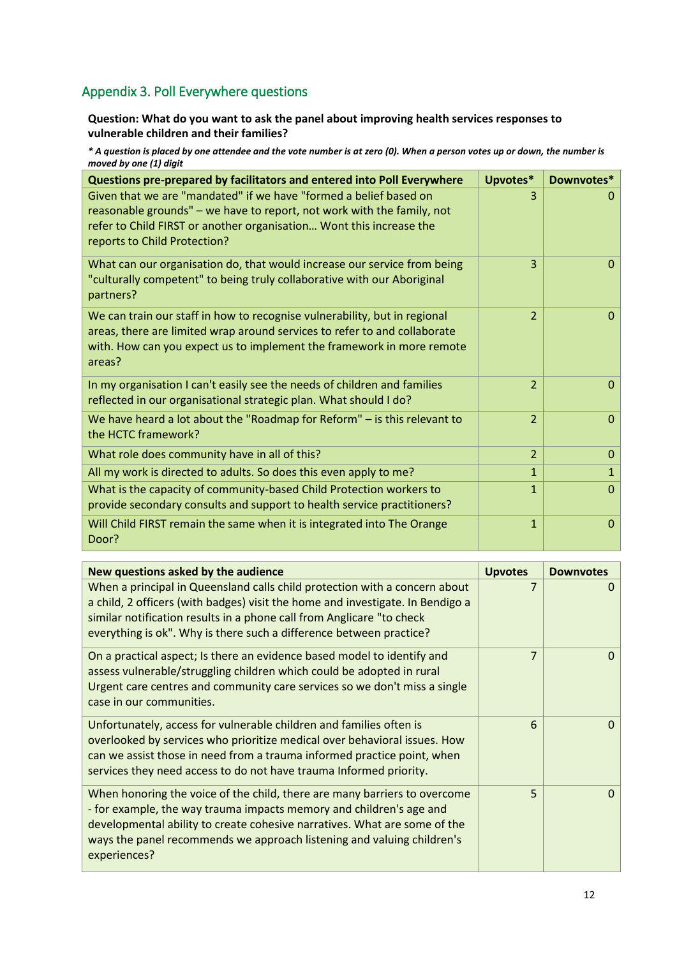### <span id="page-12-0"></span>Appendix 3. Poll Everywhere questions

### **Question: What do you want to ask the panel about improving health services responses to vulnerable children and their families?**

*\* A question is placed by one attendee and the vote number is at zero (0). When a person votes up or down, the number is moved by one (1) digit*

| Questions pre-prepared by facilitators and entered into Poll Everywhere                                                                                                                                                                            | Upvotes*            | Downvotes*                   |
|----------------------------------------------------------------------------------------------------------------------------------------------------------------------------------------------------------------------------------------------------|---------------------|------------------------------|
| Given that we are "mandated" if we have "formed a belief based on<br>reasonable grounds" - we have to report, not work with the family, not<br>refer to Child FIRST or another organisation Wont this increase the<br>reports to Child Protection? |                     | 0                            |
| What can our organisation do, that would increase our service from being<br>"culturally competent" to being truly collaborative with our Aboriginal<br>partners?                                                                                   | 3                   | $\Omega$                     |
| We can train our staff in how to recognise vulnerability, but in regional<br>areas, there are limited wrap around services to refer to and collaborate<br>with. How can you expect us to implement the framework in more remote<br>areas?          | $\overline{2}$      | $\mathbf{0}$                 |
| In my organisation I can't easily see the needs of children and families<br>reflected in our organisational strategic plan. What should I do?                                                                                                      | $\overline{2}$      | $\mathbf{0}$                 |
| We have heard a lot about the "Roadmap for Reform" $-$ is this relevant to<br>the HCTC framework?                                                                                                                                                  | $\overline{2}$      | $\mathbf{0}$                 |
| What role does community have in all of this?                                                                                                                                                                                                      | $\overline{2}$      | $\mathbf{0}$                 |
| All my work is directed to adults. So does this even apply to me?                                                                                                                                                                                  | $\mathbf 1$         | $\mathbf{1}$                 |
| What is the capacity of community-based Child Protection workers to<br>provide secondary consults and support to health service practitioners?                                                                                                     | 1                   | $\Omega$                     |
| Will Child FIRST remain the same when it is integrated into The Orange<br>Door?                                                                                                                                                                    | $\mathbf{1}$        | $\Omega$                     |
|                                                                                                                                                                                                                                                    |                     |                              |
| New questions asked by the audience<br>When a principal in Queensland calls child protection with a concern about                                                                                                                                  | <b>Upvotes</b><br>7 | <b>Downvotes</b><br>$\Omega$ |
| a child, 2 officers (with badges) visit the home and investigate. In Bendigo a<br>similar notification results in a phone call from Anglicare "to check                                                                                            |                     |                              |

| everything is ok". Why is there such a difference between practice?                                                                                                                                                                                                                                                     |                |          |
|-------------------------------------------------------------------------------------------------------------------------------------------------------------------------------------------------------------------------------------------------------------------------------------------------------------------------|----------------|----------|
| On a practical aspect; Is there an evidence based model to identify and<br>assess vulnerable/struggling children which could be adopted in rural<br>Urgent care centres and community care services so we don't miss a single<br>case in our communities.                                                               | $\overline{7}$ | $\Omega$ |
| Unfortunately, access for vulnerable children and families often is<br>overlooked by services who prioritize medical over behavioral issues. How<br>can we assist those in need from a trauma informed practice point, when<br>services they need access to do not have trauma Informed priority.                       | 6              | $\Omega$ |
| When honoring the voice of the child, there are many barriers to overcome<br>- for example, the way trauma impacts memory and children's age and<br>developmental ability to create cohesive narratives. What are some of the<br>ways the panel recommends we approach listening and valuing children's<br>experiences? | 5              | $\Omega$ |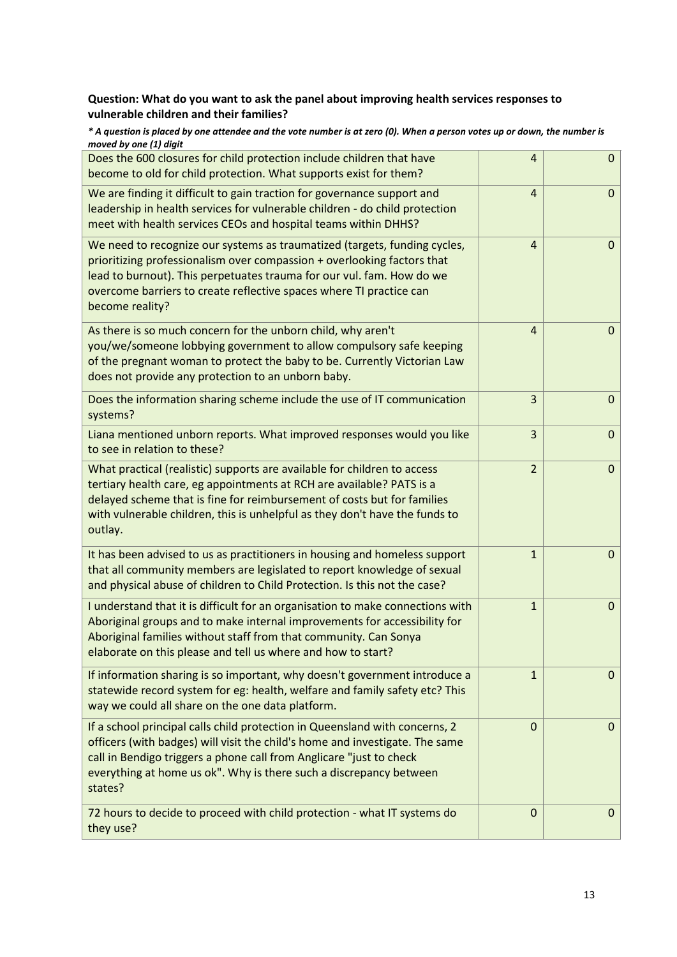### **Question: What do you want to ask the panel about improving health services responses to vulnerable children and their families?**

| * A question is placed by one attendee and the vote number is at zero (0). When a person votes up or down, the number is |  |
|--------------------------------------------------------------------------------------------------------------------------|--|
| moved by one (1) digit                                                                                                   |  |
|                                                                                                                          |  |

| Does the 600 closures for child protection include children that have<br>become to old for child protection. What supports exist for them?                                                                                                                                                                              | 4              | $\mathbf{0}$ |
|-------------------------------------------------------------------------------------------------------------------------------------------------------------------------------------------------------------------------------------------------------------------------------------------------------------------------|----------------|--------------|
| We are finding it difficult to gain traction for governance support and<br>leadership in health services for vulnerable children - do child protection<br>meet with health services CEOs and hospital teams within DHHS?                                                                                                | $\overline{4}$ | $\mathbf{0}$ |
| We need to recognize our systems as traumatized (targets, funding cycles,<br>prioritizing professionalism over compassion + overlooking factors that<br>lead to burnout). This perpetuates trauma for our vul. fam. How do we<br>overcome barriers to create reflective spaces where TI practice can<br>become reality? | $\overline{4}$ | 0            |
| As there is so much concern for the unborn child, why aren't<br>you/we/someone lobbying government to allow compulsory safe keeping<br>of the pregnant woman to protect the baby to be. Currently Victorian Law<br>does not provide any protection to an unborn baby.                                                   | $\overline{4}$ | $\mathbf{0}$ |
| Does the information sharing scheme include the use of IT communication<br>systems?                                                                                                                                                                                                                                     | 3              | $\mathbf{0}$ |
| Liana mentioned unborn reports. What improved responses would you like<br>to see in relation to these?                                                                                                                                                                                                                  | 3              | $\mathbf{0}$ |
| What practical (realistic) supports are available for children to access<br>tertiary health care, eg appointments at RCH are available? PATS is a<br>delayed scheme that is fine for reimbursement of costs but for families<br>with vulnerable children, this is unhelpful as they don't have the funds to<br>outlay.  | $\overline{2}$ | $\mathbf{0}$ |
| It has been advised to us as practitioners in housing and homeless support<br>that all community members are legislated to report knowledge of sexual<br>and physical abuse of children to Child Protection. Is this not the case?                                                                                      | 1              | $\mathbf 0$  |
| I understand that it is difficult for an organisation to make connections with<br>Aboriginal groups and to make internal improvements for accessibility for<br>Aboriginal families without staff from that community. Can Sonya<br>elaborate on this please and tell us where and how to start?                         | $\mathbf{1}$   | 0            |
| If information sharing is so important, why doesn't government introduce a<br>statewide record system for eg: health, welfare and family safety etc? This<br>way we could all share on the one data platform.                                                                                                           | $\mathbf{1}$   | $\mathbf{0}$ |
| If a school principal calls child protection in Queensland with concerns, 2<br>officers (with badges) will visit the child's home and investigate. The same<br>call in Bendigo triggers a phone call from Anglicare "just to check<br>everything at home us ok". Why is there such a discrepancy between<br>states?     | $\Omega$       | $\mathbf{0}$ |
| 72 hours to decide to proceed with child protection - what IT systems do<br>they use?                                                                                                                                                                                                                                   | 0              | $\mathbf{0}$ |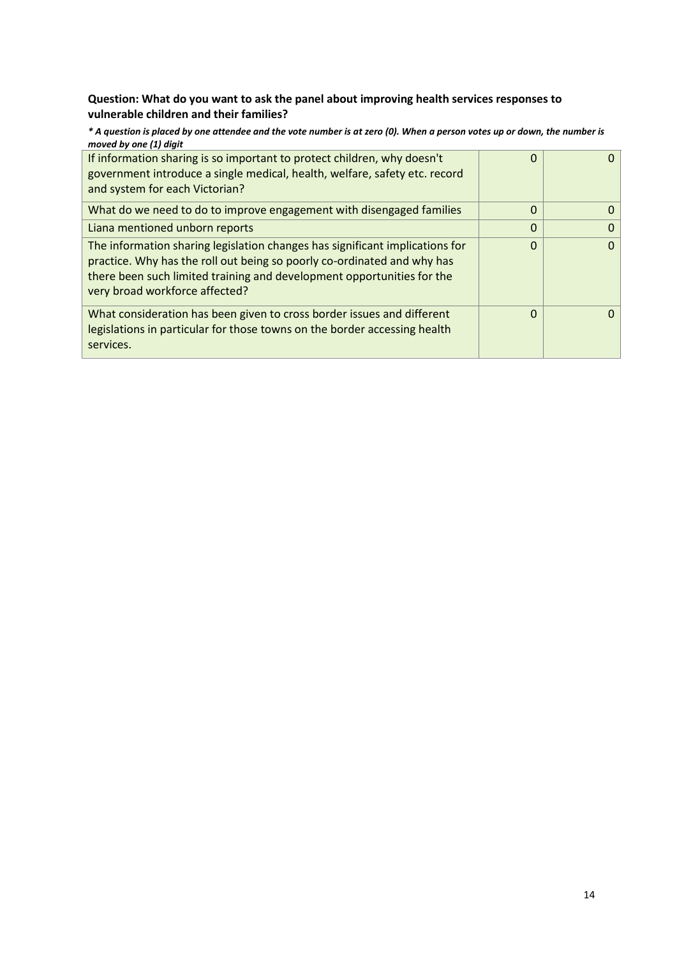### **Question: What do you want to ask the panel about improving health services responses to vulnerable children and their families?**

*\* A question is placed by one attendee and the vote number is at zero (0). When a person votes up or down, the number is moved by one (1) digit*

| If information sharing is so important to protect children, why doesn't<br>government introduce a single medical, health, welfare, safety etc. record<br>and system for each Victorian?                                                                             | 0        |          |
|---------------------------------------------------------------------------------------------------------------------------------------------------------------------------------------------------------------------------------------------------------------------|----------|----------|
| What do we need to do to improve engagement with disengaged families                                                                                                                                                                                                | $\Omega$ | 0        |
| Liana mentioned unborn reports                                                                                                                                                                                                                                      | $\Omega$ | 0        |
| The information sharing legislation changes has significant implications for<br>practice. Why has the roll out being so poorly co-ordinated and why has<br>there been such limited training and development opportunities for the<br>very broad workforce affected? | $\Omega$ | $\Omega$ |
| What consideration has been given to cross border issues and different<br>legislations in particular for those towns on the border accessing health<br>services.                                                                                                    | $\Omega$ | O        |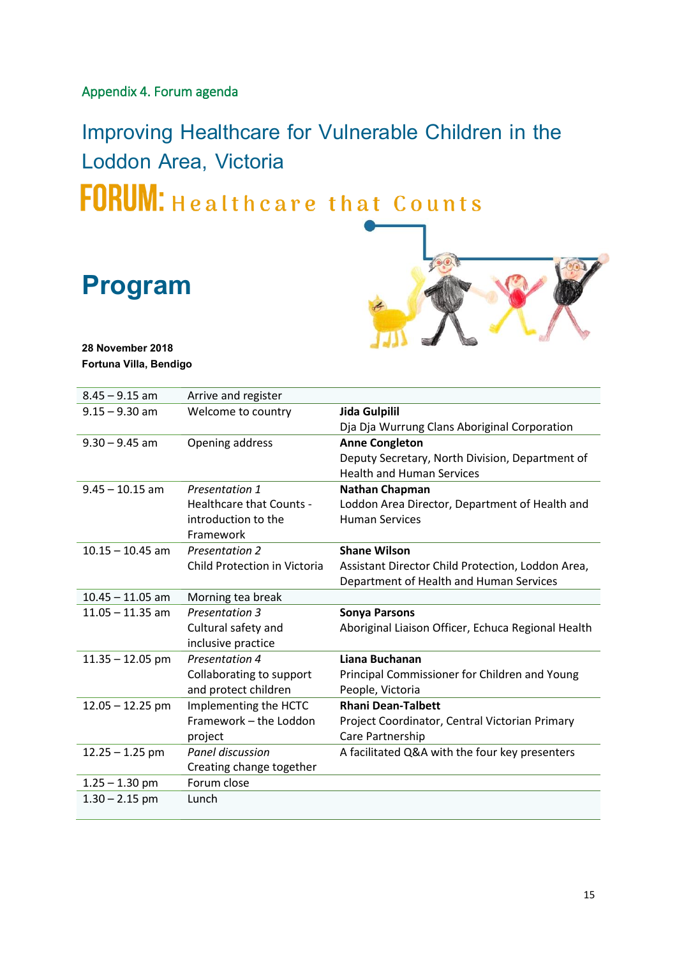### <span id="page-15-0"></span>Appendix 4. Forum agenda

Improving Healthcare for Vulnerable Children in the Loddon Area, Victoria FORUM: Healthcare that Counts

**Program**



**28 November 2018 Fortuna Villa, Bendigo**

| $8.45 - 9.15$ am   | Arrive and register          |                                                    |
|--------------------|------------------------------|----------------------------------------------------|
| $9.15 - 9.30$ am   | Welcome to country           | Jida Gulpilil                                      |
|                    |                              | Dja Dja Wurrung Clans Aboriginal Corporation       |
| $9.30 - 9.45$ am   | Opening address              | <b>Anne Congleton</b>                              |
|                    |                              | Deputy Secretary, North Division, Department of    |
|                    |                              | <b>Health and Human Services</b>                   |
| $9.45 - 10.15$ am  | Presentation 1               | <b>Nathan Chapman</b>                              |
|                    | Healthcare that Counts -     | Loddon Area Director, Department of Health and     |
|                    | introduction to the          | <b>Human Services</b>                              |
|                    | Framework                    |                                                    |
| $10.15 - 10.45$ am | <b>Presentation 2</b>        | <b>Shane Wilson</b>                                |
|                    | Child Protection in Victoria | Assistant Director Child Protection, Loddon Area,  |
|                    |                              | Department of Health and Human Services            |
| $10.45 - 11.05$ am | Morning tea break            |                                                    |
| $11.05 - 11.35$ am | <b>Presentation 3</b>        | <b>Sonya Parsons</b>                               |
|                    | Cultural safety and          | Aboriginal Liaison Officer, Echuca Regional Health |
|                    | inclusive practice           |                                                    |
| $11.35 - 12.05$ pm | Presentation 4               | Liana Buchanan                                     |
|                    | Collaborating to support     | Principal Commissioner for Children and Young      |
|                    | and protect children         | People, Victoria                                   |
| $12.05 - 12.25$ pm | Implementing the HCTC        | <b>Rhani Dean-Talbett</b>                          |
|                    | Framework - the Loddon       | Project Coordinator, Central Victorian Primary     |
|                    | project                      | Care Partnership                                   |
| $12.25 - 1.25$ pm  | Panel discussion             | A facilitated Q&A with the four key presenters     |
|                    | Creating change together     |                                                    |
| $1.25 - 1.30$ pm   | Forum close                  |                                                    |
| $1.30 - 2.15$ pm   | Lunch                        |                                                    |
|                    |                              |                                                    |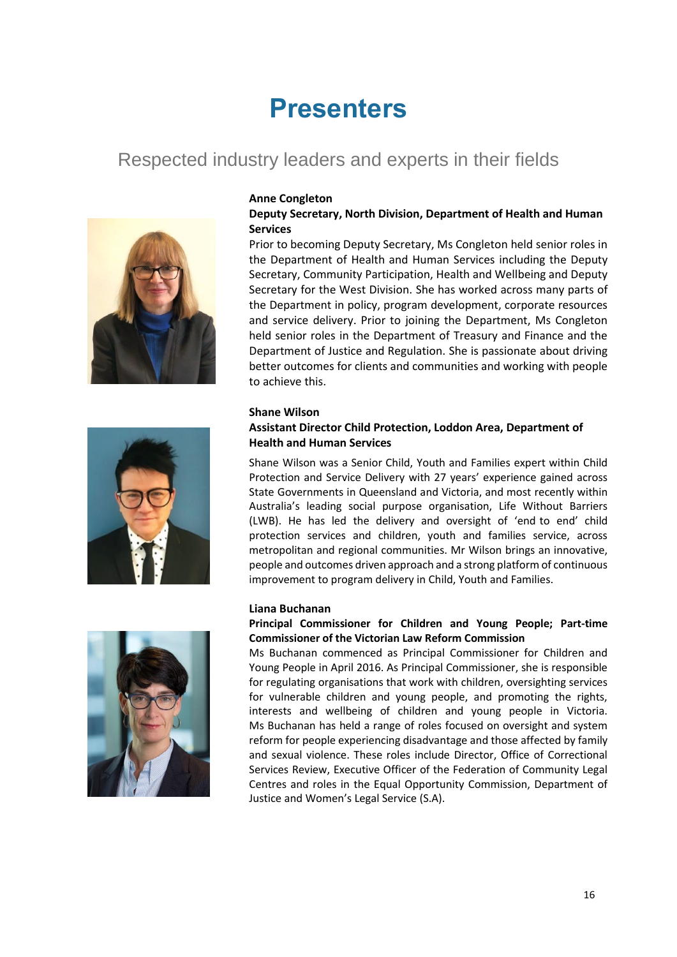# **Presenters**

# Respected industry leaders and experts in their fields







#### **Deputy Secretary, North Division, Department of Health and Human Services**

Prior to becoming Deputy Secretary, Ms Congleton held senior roles in the Department of Health and Human Services including the Deputy Secretary, Community Participation, Health and Wellbeing and Deputy Secretary for the West Division. She has worked across many parts of the Department in policy, program development, corporate resources and service delivery. Prior to joining the Department, Ms Congleton held senior roles in the Department of Treasury and Finance and the Department of Justice and Regulation. She is passionate about driving better outcomes for clients and communities and working with people to achieve this.

#### **Shane Wilson**

### **Assistant Director Child Protection, Loddon Area, Department of Health and Human Services**

Shane Wilson was a Senior Child, Youth and Families expert within Child Protection and Service Delivery with 27 years' experience gained across State Governments in Queensland and Victoria, and most recently within Australia's leading social purpose organisation, Life Without Barriers (LWB). He has led the delivery and oversight of 'end-to end' child protection services and children, youth and families service, across metropolitan and regional communities. Mr Wilson brings an innovative, people and outcomes driven approach and a strong platform of continuous improvement to program delivery in Child, Youth and Families.

#### **Liana Buchanan**

#### **Principal Commissioner for Children and Young People; Part-time Commissioner of the Victorian Law Reform Commission**

Ms Buchanan commenced as Principal Commissioner for Children and Young People in April 2016. As Principal Commissioner, she is responsible for regulating organisations that work with children, oversighting services for vulnerable children and young people, and promoting the rights, interests and wellbeing of children and young people in Victoria. Ms Buchanan has held a range of roles focused on oversight and system reform for people experiencing disadvantage and those affected by family and sexual violence. These roles include Director, Office of Correctional Services Review, Executive Officer of the Federation of Community Legal Centres and roles in the Equal Opportunity Commission, Department of Justice and Women's Legal Service (S.A).